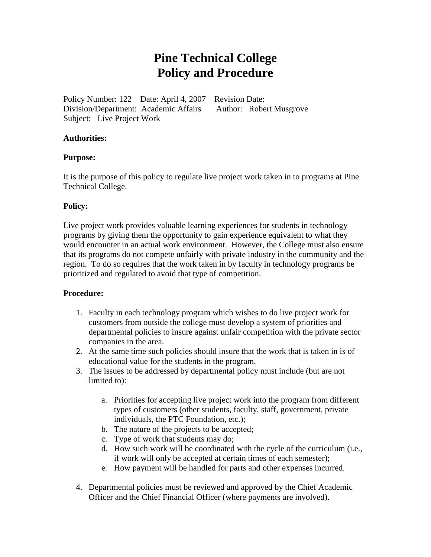## **Pine Technical College Policy and Procedure**

Policy Number: 122 Date: April 4, 2007 Revision Date: Division/Department: Academic Affairs Author: Robert Musgrove Subject: Live Project Work

#### **Authorities:**

#### **Purpose:**

It is the purpose of this policy to regulate live project work taken in to programs at Pine Technical College.

#### **Policy:**

Live project work provides valuable learning experiences for students in technology programs by giving them the opportunity to gain experience equivalent to what they would encounter in an actual work environment. However, the College must also ensure that its programs do not compete unfairly with private industry in the community and the region. To do so requires that the work taken in by faculty in technology programs be prioritized and regulated to avoid that type of competition.

#### **Procedure:**

- 1. Faculty in each technology program which wishes to do live project work for customers from outside the college must develop a system of priorities and departmental policies to insure against unfair competition with the private sector companies in the area.
- 2. At the same time such policies should insure that the work that is taken in is of educational value for the students in the program.
- 3. The issues to be addressed by departmental policy must include (but are not limited to):
	- a. Priorities for accepting live project work into the program from different types of customers (other students, faculty, staff, government, private individuals, the PTC Foundation, etc.);
	- b. The nature of the projects to be accepted;
	- c. Type of work that students may do;
	- d. How such work will be coordinated with the cycle of the curriculum (i.e., if work will only be accepted at certain times of each semester);
	- e. How payment will be handled for parts and other expenses incurred.
- 4. Departmental policies must be reviewed and approved by the Chief Academic Officer and the Chief Financial Officer (where payments are involved).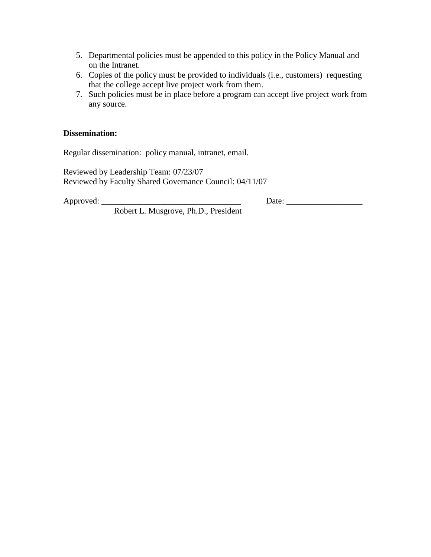- 5. Departmental policies must be appended to this policy in the Policy Manual and on the Intranet.
- 6. Copies of the policy must be provided to individuals (i.e., customers) requesting that the college accept live project work from them.
- 7. Such policies must be in place before a program can accept live project work from any source.

#### **Dissemination:**

Regular dissemination: policy manual, intranet, email.

Reviewed by Leadership Team: 07/23/07 Reviewed by Faculty Shared Governance Council: 04/11/07

Approved: \_\_\_\_\_\_\_\_\_\_\_\_\_\_\_\_\_\_\_\_\_\_\_\_\_\_\_\_\_\_\_\_\_ Date: \_\_\_\_\_\_\_\_\_\_\_\_\_\_\_\_\_\_

Robert L. Musgrove, Ph.D., President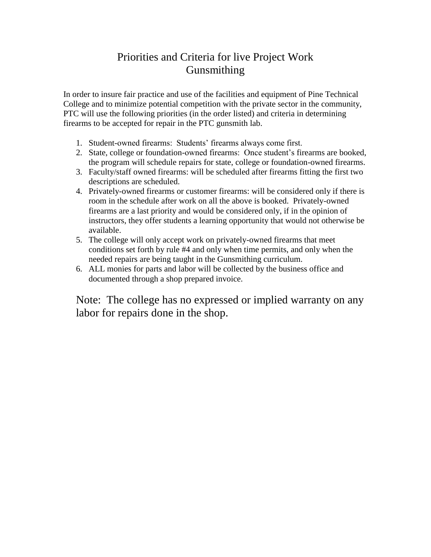### Priorities and Criteria for live Project Work Gunsmithing

In order to insure fair practice and use of the facilities and equipment of Pine Technical College and to minimize potential competition with the private sector in the community, PTC will use the following priorities (in the order listed) and criteria in determining firearms to be accepted for repair in the PTC gunsmith lab.

- 1. Student-owned firearms: Students' firearms always come first.
- 2. State, college or foundation-owned firearms: Once student's firearms are booked, the program will schedule repairs for state, college or foundation-owned firearms.
- 3. Faculty/staff owned firearms: will be scheduled after firearms fitting the first two descriptions are scheduled.
- 4. Privately-owned firearms or customer firearms: will be considered only if there is room in the schedule after work on all the above is booked. Privately-owned firearms are a last priority and would be considered only, if in the opinion of instructors, they offer students a learning opportunity that would not otherwise be available.
- 5. The college will only accept work on privately-owned firearms that meet conditions set forth by rule #4 and only when time permits, and only when the needed repairs are being taught in the Gunsmithing curriculum.
- 6. ALL monies for parts and labor will be collected by the business office and documented through a shop prepared invoice.

Note: The college has no expressed or implied warranty on any labor for repairs done in the shop.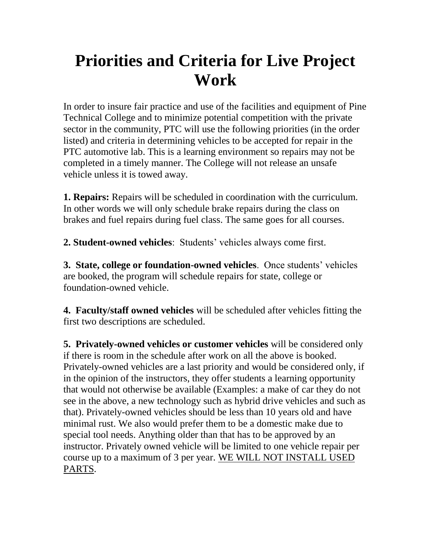# **Priorities and Criteria for Live Project Work**

In order to insure fair practice and use of the facilities and equipment of Pine Technical College and to minimize potential competition with the private sector in the community, PTC will use the following priorities (in the order listed) and criteria in determining vehicles to be accepted for repair in the PTC automotive lab. This is a learning environment so repairs may not be completed in a timely manner. The College will not release an unsafe vehicle unless it is towed away.

**1. Repairs:** Repairs will be scheduled in coordination with the curriculum. In other words we will only schedule brake repairs during the class on brakes and fuel repairs during fuel class. The same goes for all courses.

**2. Student-owned vehicles**: Students' vehicles always come first.

**3. State, college or foundation-owned vehicles**. Once students' vehicles are booked, the program will schedule repairs for state, college or foundation-owned vehicle.

**4. Faculty/staff owned vehicles** will be scheduled after vehicles fitting the first two descriptions are scheduled.

**5. Privately-owned vehicles or customer vehicles** will be considered only if there is room in the schedule after work on all the above is booked. Privately-owned vehicles are a last priority and would be considered only, if in the opinion of the instructors, they offer students a learning opportunity that would not otherwise be available (Examples: a make of car they do not see in the above, a new technology such as hybrid drive vehicles and such as that). Privately-owned vehicles should be less than 10 years old and have minimal rust. We also would prefer them to be a domestic make due to special tool needs. Anything older than that has to be approved by an instructor. Privately owned vehicle will be limited to one vehicle repair per course up to a maximum of 3 per year. WE WILL NOT INSTALL USED PARTS.